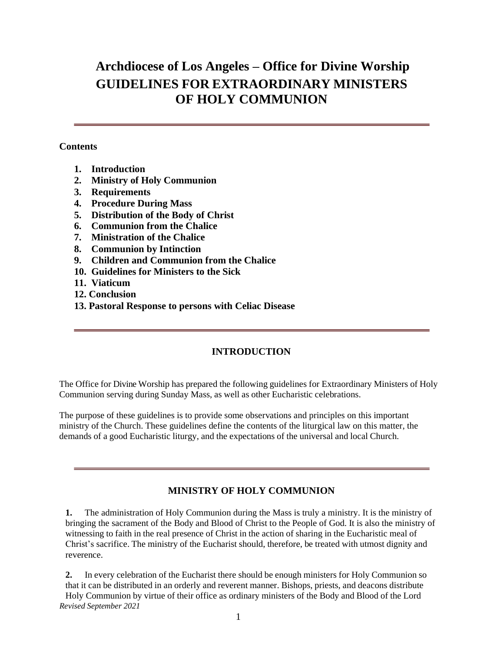# **Archdiocese of Los Angeles – Office for Divine Worship GUIDELINES FOR EXTRAORDINARY MINISTERS OF HOLY COMMUNION**

#### **Contents**

- **1. Introduction**
- **2. Ministry of Holy Communion**
- **3. Requirements**
- **4. Procedure During Mass**
- **5. Distribution of the Body of Christ**
- **6. Communion from the Chalice**
- **7. Ministration of the Chalice**
- **8. Communion by Intinction**
- **9. Children and Communion from the Chalice**
- **10. Guidelines for Ministers to the Sick**
- **11. Viaticum**
- **12. Conclusion**
- **13. Pastoral Response to persons with Celiac Disease**

## **INTRODUCTION**

The Office for Divine Worship has prepared the following guidelines for Extraordinary Ministers of Holy Communion serving during Sunday Mass, as well as other Eucharistic celebrations.

The purpose of these guidelines is to provide some observations and principles on this important ministry of the Church. These guidelines define the contents of the liturgical law on this matter, the demands of a good Eucharistic liturgy, and the expectations of the universal and local Church.

## **MINISTRY OF HOLY COMMUNION**

**1.** The administration of Holy Communion during the Mass is truly a ministry. It is the ministry of bringing the sacrament of the Body and Blood of Christ to the People of God. It is also the ministry of witnessing to faith in the real presence of Christ in the action of sharing in the Eucharistic meal of Christ's sacrifice. The ministry of the Eucharist should, therefore, be treated with utmost dignity and reverence.

*Revised September 2021* **2.** In every celebration of the Eucharist there should be enough ministers for Holy Communion so that it can be distributed in an orderly and reverent manner. Bishops, priests, and deacons distribute Holy Communion by virtue of their office as ordinary ministers of the Body and Blood of the Lord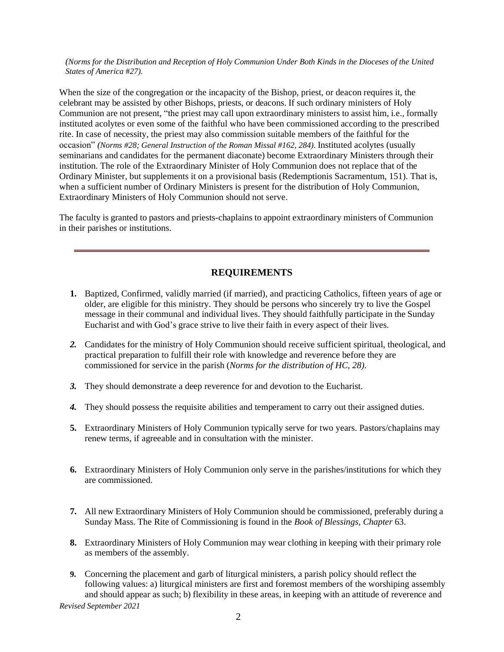*(Norms for the Distribution and Reception of Holy Communion Under Both Kinds in the Dioceses of the United States of America* #*27).*

When the size of the congregation or the incapacity of the Bishop, priest, or deacon requires it, the celebrant may be assisted by other Bishops, priests, or deacons. If such ordinary ministers of Holy Communion are not present, "the priest may call upon extraordinary ministers to assist him, i.e., formally instituted acolytes or even some of the faithful who have been commissioned according to the prescribed rite. In case of necessity, the priest may also commission suitable members of the faithful for the occasion" *(Norms #28; General Instruction of the Roman Missal #162, 284)*. Instituted acolytes (usually seminarians and candidates for the permanent diaconate) become Extraordinary Ministers through their institution. The role of the Extraordinary Minister of Holy Communion does not replace that of the Ordinary Minister, but supplements it on a provisional basis (Redemptionis Sacramentum, 151). That is, when a sufficient number of Ordinary Ministers is present for the distribution of Holy Communion, Extraordinary Ministers of Holy Communion should not serve.

The faculty is granted to pastors and priests-chaplains to appoint extraordinary ministers of Communion in their parishes or institutions.

## **REQUIREMENTS**

- **1.** Baptized, Confirmed, validly married (if married), and practicing Catholics, fifteen years of age or older, are eligible for this ministry. They should be persons who sincerely try to live the Gospel message in their communal and individual lives. They should faithfully participate in the Sunday Eucharist and with God's grace strive to live their faith in every aspect of their lives.
- *2.* Candidates for the ministry of Holy Communion should receive sufficient spiritual, theological, and practical preparation to fulfill their role with knowledge and reverence before they are commissioned for service in the parish (*Norms for the distribution of HC, 28).*
- *3.* They should demonstrate a deep reverence for and devotion to the Eucharist.
- *4.* They should possess the requisite abilities and temperament to carry out their assigned duties.
- **5.** Extraordinary Ministers of Holy Communion typically serve for two years. Pastors/chaplains may renew terms, if agreeable and in consultation with the minister.
- **6.** Extraordinary Ministers of Holy Communion only serve in the parishes/institutions for which they are commissioned.
- **7.** All new Extraordinary Ministers of Holy Communion should be commissioned, preferably during a Sunday Mass. The Rite of Commissioning is found in the *Book of Blessings, Chapter* 63.
- **8.** Extraordinary Ministers of Holy Communion may wear clothing in keeping with their primary role as members of the assembly.
- *Revised September 2021* **9.** Concerning the placement and garb of liturgical ministers, a parish policy should reflect the following values: a) liturgical ministers are first and foremost members of the worshiping assembly and should appear as such; b) flexibility in these areas, in keeping with an attitude of reverence and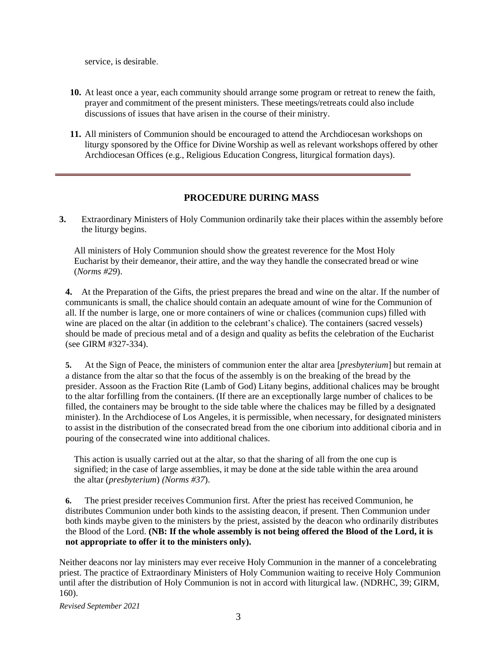service, is desirable.

- **10.** At least once a year, each community should arrange some program or retreat to renew the faith, prayer and commitment of the present ministers. These meetings/retreats could also include discussions of issues that have arisen in the course of their ministry.
- **11.** All ministers of Communion should be encouraged to attend the Archdiocesan workshops on liturgy sponsored by the Office for Divine Worship as well as relevant workshops offered by other Archdiocesan Offices (e.g., Religious Education Congress, liturgical formation days).

#### **PROCEDURE DURING MASS**

**3.** Extraordinary Ministers of Holy Communion ordinarily take their places within the assembly before the liturgy begins.

All ministers of Holy Communion should show the greatest reverence for the Most Holy Eucharist by their demeanor, their attire, and the way they handle the consecrated bread or wine (*Norms #29*).

**4.** At the Preparation of the Gifts, the priest prepares the bread and wine on the altar. If the number of communicants is small, the chalice should contain an adequate amount of wine for the Communion of all. If the number is large, one or more containers of wine or chalices (communion cups) filled with wine are placed on the altar (in addition to the celebrant's chalice). The containers (sacred vessels) should be made of precious metal and of a design and quality as befits the celebration of the Eucharist (see GIRM #327-334).

**5.** At the Sign of Peace, the ministers of communion enter the altar area [*presbyterium*] but remain at a distance from the altar so that the focus of the assembly is on the breaking of the bread by the presider. Assoon as the Fraction Rite (Lamb of God) Litany begins, additional chalices may be brought to the altar forfilling from the containers. (If there are an exceptionally large number of chalices to be filled, the containers may be brought to the side table where the chalices may be filled by a designated minister). In the Archdiocese of Los Angeles, it is permissible, when necessary, for designated ministers to assist in the distribution of the consecrated bread from the one ciborium into additional ciboria and in pouring of the consecrated wine into additional chalices.

This action is usually carried out at the altar, so that the sharing of all from the one cup is signified; in the case of large assemblies, it may be done at the side table within the area around the altar (*presbyterium*) *(Norms #37*).

**6.** The priest presider receives Communion first. After the priest has received Communion, he distributes Communion under both kinds to the assisting deacon, if present. Then Communion under both kinds maybe given to the ministers by the priest, assisted by the deacon who ordinarily distributes the Blood of the Lord. **(NB: If the whole assembly is not being offered the Blood of the Lord, it is not appropriate to offer it to the ministers only).**

Neither deacons nor lay ministers may ever receive Holy Communion in the manner of a concelebrating priest. The practice of Extraordinary Ministers of Holy Communion waiting to receive Holy Communion until after the distribution of Holy Communion is not in accord with liturgical law. (NDRHC, 39; GIRM, 160).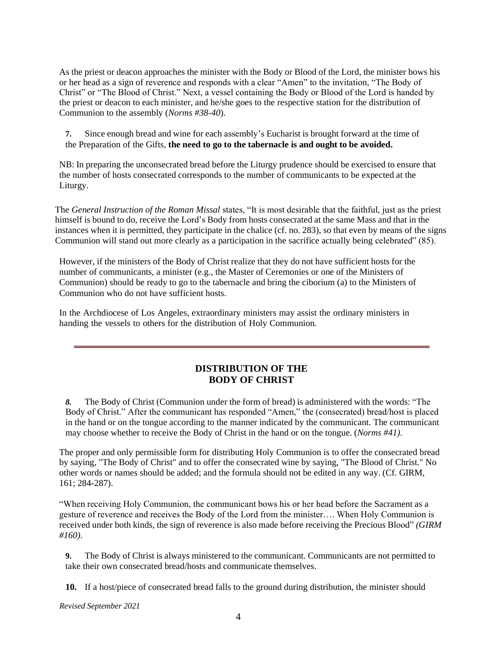As the priest or deacon approaches the minister with the Body or Blood of the Lord, the minister bows his or her head as a sign of reverence and responds with a clear "Amen" to the invitation, "The Body of Christ" or "The Blood of Christ." Next, a vessel containing the Body or Blood of the Lord is handed by the priest or deacon to each minister, and he/she goes to the respective station for the distribution of Communion to the assembly (*Norms #38-40*).

**7.** Since enough bread and wine for each assembly's Eucharist is brought forward at the time of the Preparation of the Gifts, **the need to go to the tabernacle is and ought to be avoided.**

NB: In preparing the unconsecrated bread before the Liturgy prudence should be exercised to ensure that the number of hosts consecrated corresponds to the number of communicants to be expected at the Liturgy.

The *General Instruction of the Roman Missal* states, "It is most desirable that the faithful, just as the priest himself is bound to do, receive the Lord's Body from hosts consecrated at the same Mass and that in the instances when it is permitted, they participate in the chalice (cf. no. 283), so that even by means of the signs Communion will stand out more clearly as a participation in the sacrifice actually being celebrated" (85).

However, if the ministers of the Body of Christ realize that they do not have sufficient hosts for the number of communicants, a minister (e.g., the Master of Ceremonies or one of the Ministers of Communion) should be ready to go to the tabernacle and bring the ciborium (a) to the Ministers of Communion who do not have sufficient hosts.

In the Archdiocese of Los Angeles, extraordinary ministers may assist the ordinary ministers in handing the vessels to others for the distribution of Holy Communion.

#### **DISTRIBUTION OF THE BODY OF CHRIST**

*8.* The Body of Christ (Communion under the form of bread) is administered with the words: "The Body of Christ." After the communicant has responded "Amen," the (consecrated) bread/host is placed in the hand or on the tongue according to the manner indicated by the communicant. The communicant may choose whether to receive the Body of Christ in the hand or on the tongue. (*Norms #41).*

The proper and only permissible form for distributing Holy Communion is to offer the consecrated bread by saying, "The Body of Christ" and to offer the consecrated wine by saying, "The Blood of Christ." No other words or names should be added; and the formula should not be edited in any way. (Cf. GIRM, 161; 284-287).

"When receiving Holy Communion, the communicant bows his or her head before the Sacrament as a gesture of reverence and receives the Body of the Lord from the minister…. When Holy Communion is received under both kinds, the sign of reverence is also made before receiving the Precious Blood" *(GIRM #160).*

**9.** The Body of Christ is always ministered to the communicant. Communicants are not permitted to take their own consecrated bread/hosts and communicate themselves.

**10.** If a host/piece of consecrated bread falls to the ground during distribution, the minister should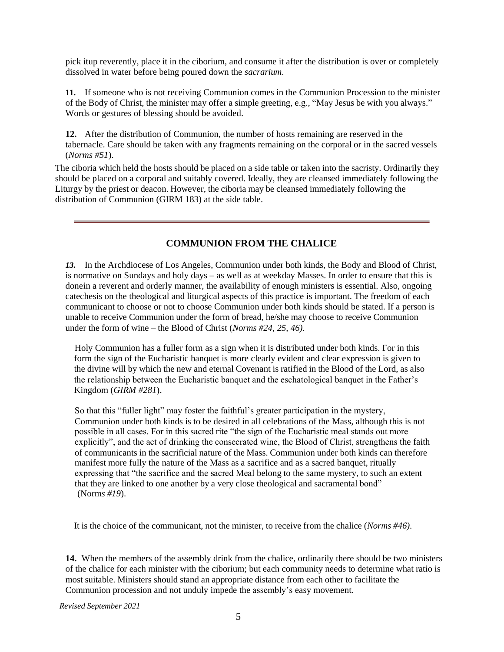pick itup reverently, place it in the ciborium, and consume it after the distribution is over or completely dissolved in water before being poured down the *sacrarium*.

**11.** If someone who is not receiving Communion comes in the Communion Procession to the minister of the Body of Christ, the minister may offer a simple greeting, e.g., "May Jesus be with you always." Words or gestures of blessing should be avoided.

**12.** After the distribution of Communion, the number of hosts remaining are reserved in the tabernacle. Care should be taken with any fragments remaining on the corporal or in the sacred vessels (*Norms #51*).

The ciboria which held the hosts should be placed on a side table or taken into the sacristy. Ordinarily they should be placed on a corporal and suitably covered. Ideally, they are cleansed immediately following the Liturgy by the priest or deacon. However, the ciboria may be cleansed immediately following the distribution of Communion (GIRM 183) at the side table.

#### **COMMUNION FROM THE CHALICE**

*13.* In the Archdiocese of Los Angeles, Communion under both kinds, the Body and Blood of Christ, is normative on Sundays and holy days – as well as at weekday Masses. In order to ensure that this is donein a reverent and orderly manner, the availability of enough ministers is essential. Also, ongoing catechesis on the theological and liturgical aspects of this practice is important. The freedom of each communicant to choose or not to choose Communion under both kinds should be stated. If a person is unable to receive Communion under the form of bread, he/she may choose to receive Communion under the form of wine – the Blood of Christ (*Norms #24, 25, 46).*

Holy Communion has a fuller form as a sign when it is distributed under both kinds. For in this form the sign of the Eucharistic banquet is more clearly evident and clear expression is given to the divine will by which the new and eternal Covenant is ratified in the Blood of the Lord, as also the relationship between the Eucharistic banquet and the eschatological banquet in the Father's Kingdom (*GIRM #281*).

So that this "fuller light" may foster the faithful's greater participation in the mystery, Communion under both kinds is to be desired in all celebrations of the Mass, although this is not possible in all cases. For in this sacred rite "the sign of the Eucharistic meal stands out more explicitly", and the act of drinking the consecrated wine, the Blood of Christ, strengthens the faith of communicants in the sacrificial nature of the Mass. Communion under both kinds can therefore manifest more fully the nature of the Mass as a sacrifice and as a sacred banquet, ritually expressing that "the sacrifice and the sacred Meal belong to the same mystery, to such an extent that they are linked to one another by a very close theological and sacramental bond" (Norm*s #19*).

It is the choice of the communicant, not the minister, to receive from the chalice (*Norms #46).*

**14.** When the members of the assembly drink from the chalice, ordinarily there should be two ministers of the chalice for each minister with the ciborium; but each community needs to determine what ratio is most suitable. Ministers should stand an appropriate distance from each other to facilitate the Communion procession and not unduly impede the assembly's easy movement.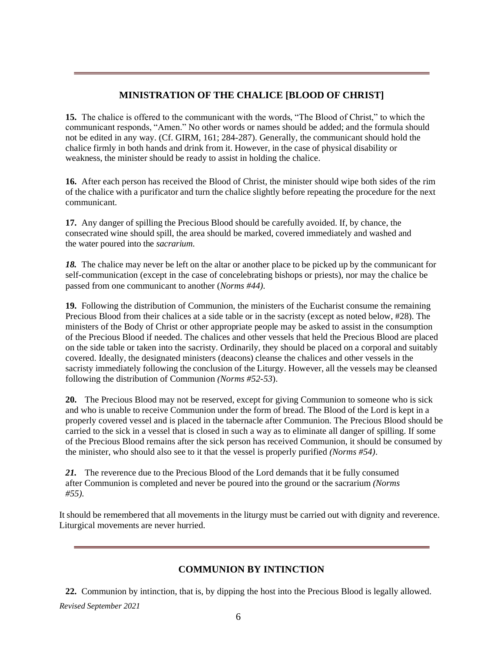## **MINISTRATION OF THE CHALICE [BLOOD OF CHRIST]**

**15.** The chalice is offered to the communicant with the words, "The Blood of Christ," to which the communicant responds, "Amen." No other words or names should be added; and the formula should not be edited in any way. (Cf. GIRM, 161; 284-287). Generally, the communicant should hold the chalice firmly in both hands and drink from it. However, in the case of physical disability or weakness, the minister should be ready to assist in holding the chalice.

**16.** After each person has received the Blood of Christ, the minister should wipe both sides of the rim of the chalice with a purificator and turn the chalice slightly before repeating the procedure for the next communicant.

**17.** Any danger of spilling the Precious Blood should be carefully avoided. If, by chance, the consecrated wine should spill, the area should be marked, covered immediately and washed and the water poured into the *sacrarium*.

*18.* The chalice may never be left on the altar or another place to be picked up by the communicant for self-communication (except in the case of concelebrating bishops or priests), nor may the chalice be passed from one communicant to another (*Norms #44).*

**19.** Following the distribution of Communion, the ministers of the Eucharist consume the remaining Precious Blood from their chalices at a side table or in the sacristy (except as noted below, #28). The ministers of the Body of Christ or other appropriate people may be asked to assist in the consumption of the Precious Blood if needed. The chalices and other vessels that held the Precious Blood are placed on the side table or taken into the sacristy. Ordinarily, they should be placed on a corporal and suitably covered. Ideally, the designated ministers (deacons) cleanse the chalices and other vessels in the sacristy immediately following the conclusion of the Liturgy. However, all the vessels may be cleansed following the distribution of Communion *(Norms #52-53*).

**20.** The Precious Blood may not be reserved, except for giving Communion to someone who is sick and who is unable to receive Communion under the form of bread. The Blood of the Lord is kept in a properly covered vessel and is placed in the tabernacle after Communion. The Precious Blood should be carried to the sick in a vessel that is closed in such a way as to eliminate all danger of spilling. If some of the Precious Blood remains after the sick person has received Communion, it should be consumed by the minister, who should also see to it that the vessel is properly purified *(Norms #54)*.

*21.* The reverence due to the Precious Blood of the Lord demands that it be fully consumed after Communion is completed and never be poured into the ground or the sacrarium *(Norms #55).*

It should be remembered that all movements in the liturgy must be carried out with dignity and reverence. Liturgical movements are never hurried.

#### **COMMUNION BY INTINCTION**

*Revised September 2021* **22.** Communion by intinction, that is, by dipping the host into the Precious Blood is legally allowed.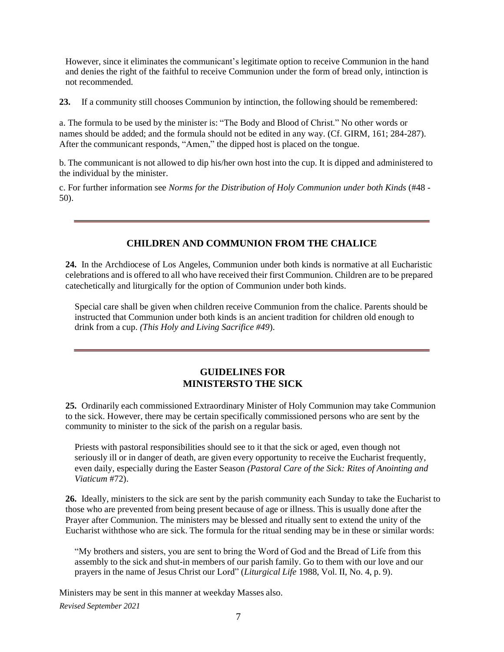However, since it eliminates the communicant's legitimate option to receive Communion in the hand and denies the right of the faithful to receive Communion under the form of bread only, intinction is not recommended.

**23.** If a community still chooses Communion by intinction, the following should be remembered:

a. The formula to be used by the minister is: "The Body and Blood of Christ." No other words or names should be added; and the formula should not be edited in any way. (Cf. GIRM, 161; 284-287). After the communicant responds, "Amen," the dipped host is placed on the tongue.

b. The communicant is not allowed to dip his/her own host into the cup. It is dipped and administered to the individual by the minister.

c. For further information see *Norms for the Distribution of Holy Communion under both Kinds* (#48 - 50).

## **CHILDREN AND COMMUNION FROM THE CHALICE**

**24.** In the Archdiocese of Los Angeles, Communion under both kinds is normative at all Eucharistic celebrations and is offered to all who have received their first Communion. Children are to be prepared catechetically and liturgically for the option of Communion under both kinds.

Special care shall be given when children receive Communion from the chalice. Parents should be instructed that Communion under both kinds is an ancient tradition for children old enough to drink from a cup. *(This Holy and Living Sacrifice #49*).

## **GUIDELINES FOR MINISTERSTO THE SICK**

**25.** Ordinarily each commissioned Extraordinary Minister of Holy Communion may take Communion to the sick. However, there may be certain specifically commissioned persons who are sent by the community to minister to the sick of the parish on a regular basis.

Priests with pastoral responsibilities should see to it that the sick or aged, even though not seriously ill or in danger of death, are given every opportunity to receive the Eucharist frequently, even daily, especially during the Easter Season *(Pastoral Care of the Sick: Rites of Anointing and Viaticum* #72).

**26.** Ideally, ministers to the sick are sent by the parish community each Sunday to take the Eucharist to those who are prevented from being present because of age or illness. This is usually done after the Prayer after Communion. The ministers may be blessed and ritually sent to extend the unity of the Eucharist withthose who are sick. The formula for the ritual sending may be in these or similar words:

"My brothers and sisters, you are sent to bring the Word of God and the Bread of Life from this assembly to the sick and shut-in members of our parish family. Go to them with our love and our prayers in the name of Jesus Christ our Lord" (*Liturgical Life* 1988, Vol. II, No. 4, p. 9).

*Revised September 2021* Ministers may be sent in this manner at weekday Masses also.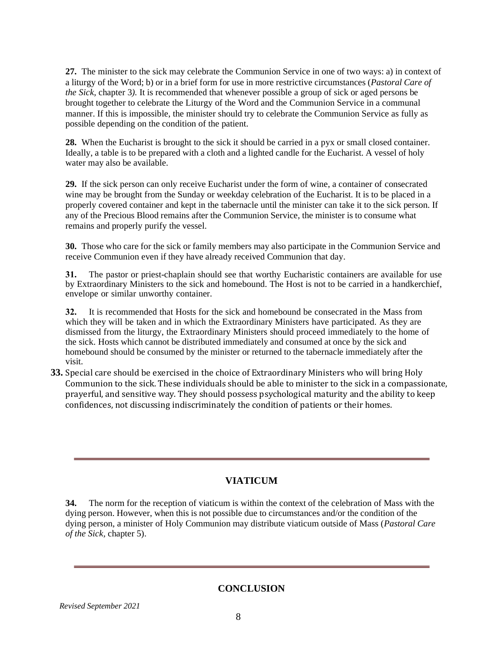**27.** The minister to the sick may celebrate the Communion Service in one of two ways: a) in context of a liturgy of the Word; b) or in a brief form for use in more restrictive circumstances (*Pastoral Care of the Sick,* chapter 3*).* It is recommended that whenever possible a group of sick or aged persons be brought together to celebrate the Liturgy of the Word and the Communion Service in a communal manner. If this is impossible, the minister should try to celebrate the Communion Service as fully as possible depending on the condition of the patient.

**28.** When the Eucharist is brought to the sick it should be carried in a pyx or small closed container. Ideally, a table is to be prepared with a cloth and a lighted candle for the Eucharist. A vessel of holy water may also be available.

**29.** If the sick person can only receive Eucharist under the form of wine, a container of consecrated wine may be brought from the Sunday or weekday celebration of the Eucharist. It is to be placed in a properly covered container and kept in the tabernacle until the minister can take it to the sick person. If any of the Precious Blood remains after the Communion Service, the minister is to consume what remains and properly purify the vessel.

**30.** Those who care for the sick or family members may also participate in the Communion Service and receive Communion even if they have already received Communion that day.

**31.** The pastor or priest-chaplain should see that worthy Eucharistic containers are available for use by Extraordinary Ministers to the sick and homebound. The Host is not to be carried in a handkerchief, envelope or similar unworthy container.

**32.** It is recommended that Hosts for the sick and homebound be consecrated in the Mass from which they will be taken and in which the Extraordinary Ministers have participated. As they are dismissed from the liturgy, the Extraordinary Ministers should proceed immediately to the home of the sick. Hosts which cannot be distributed immediately and consumed at once by the sick and homebound should be consumed by the minister or returned to the tabernacle immediately after the visit.

**33.** Special care should be exercised in the choice of Extraordinary Ministers who will bring Holy Communion to the sick. These individuals should be able to minister to the sick in a compassionate, prayerful, and sensitive way. They should possess psychological maturity and the ability to keep confidences, not discussing indiscriminately the condition of patients or their homes.

## **VIATICUM**

**34.** The norm for the reception of viaticum is within the context of the celebration of Mass with the dying person. However, when this is not possible due to circumstances and/or the condition of the dying person, a minister of Holy Communion may distribute viaticum outside of Mass (*Pastoral Care of the Sick,* chapter 5).

#### **CONCLUSION**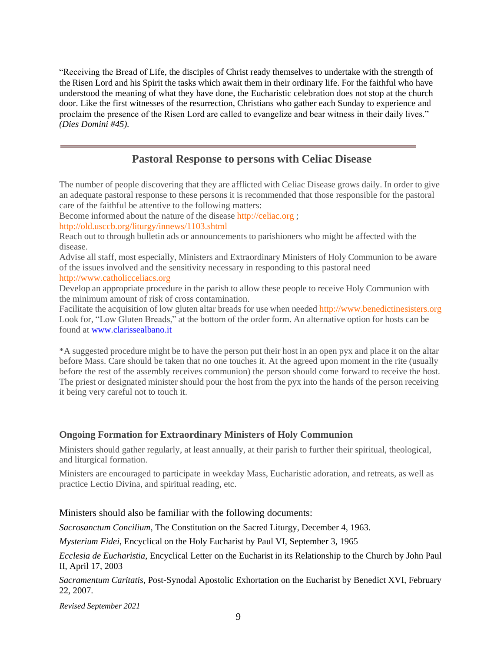"Receiving the Bread of Life, the disciples of Christ ready themselves to undertake with the strength of the Risen Lord and his Spirit the tasks which await them in their ordinary life. For the faithful who have understood the meaning of what they have done, the Eucharistic celebration does not stop at the church door. Like the first witnesses of the resurrection, Christians who gather each Sunday to experience and proclaim the presence of the Risen Lord are called to evangelize and bear witness in their daily lives." *(Dies Domini #45).*

## **Pastoral Response to persons with Celiac Disease**

The number of people discovering that they are afflicted with Celiac Disease grows daily. In order to give an adequate pastoral response to these persons it is recommended that those responsible for the pastoral care of the faithful be attentive to the following matters:

Become informed about the nature of the disease [http://celiac.org](http://celiac.org/) ; <http://old.usccb.org/liturgy/innews/1103.shtml>

Reach out to through bulletin ads or announcements to parishioners who might be affected with the disease.

Advise all staff, most especially, Ministers and Extraordinary Ministers of Holy Communion to be aware of the issues involved and the sensitivity necessary in responding to this pastoral need [http://www.catholicceliacs.org](http://www.catholicceliacs.org/)

Develop an appropriate procedure in the parish to allow these people to receive Holy Communion with the minimum amount of risk of cross contamination.

Facilitate the acquisition of low gluten altar breads for use when needed [http://www.benedictinesisters.org](http://www.benedictinesisters.org/) Look for, "Low Gluten Breads," at the bottom of the order form. An alternative option for hosts can be found at [www.clarissealbano.it](http://www.clarissealbano.it/)

\*A suggested procedure might be to have the person put their host in an open pyx and place it on the altar before Mass. Care should be taken that no one touches it. At the agreed upon moment in the rite (usually before the rest of the assembly receives communion) the person should come forward to receive the host. The priest or designated minister should pour the host from the pyx into the hands of the person receiving it being very careful not to touch it.

#### **Ongoing Formation for Extraordinary Ministers of Holy Communion**

Ministers should gather regularly, at least annually, at their parish to further their spiritual, theological, and liturgical formation.

Ministers are encouraged to participate in weekday Mass, Eucharistic adoration, and retreats, as well as practice Lectio Divina, and spiritual reading, etc.

#### Ministers should also be familiar with the following documents:

*Sacrosanctum Concilium*, The Constitution on the Sacred Liturgy, December 4, 1963.

*Mysterium Fidei*, Encyclical on the Holy Eucharist by Paul VI, September 3, 1965

*Ecclesia de Eucharistia*, Encyclical Letter on the Eucharist in its Relationship to the Church by John Paul II, April 17, 2003

*Sacramentum Caritatis*, Post-Synodal Apostolic Exhortation on the Eucharist by Benedict XVI, February 22, 2007.